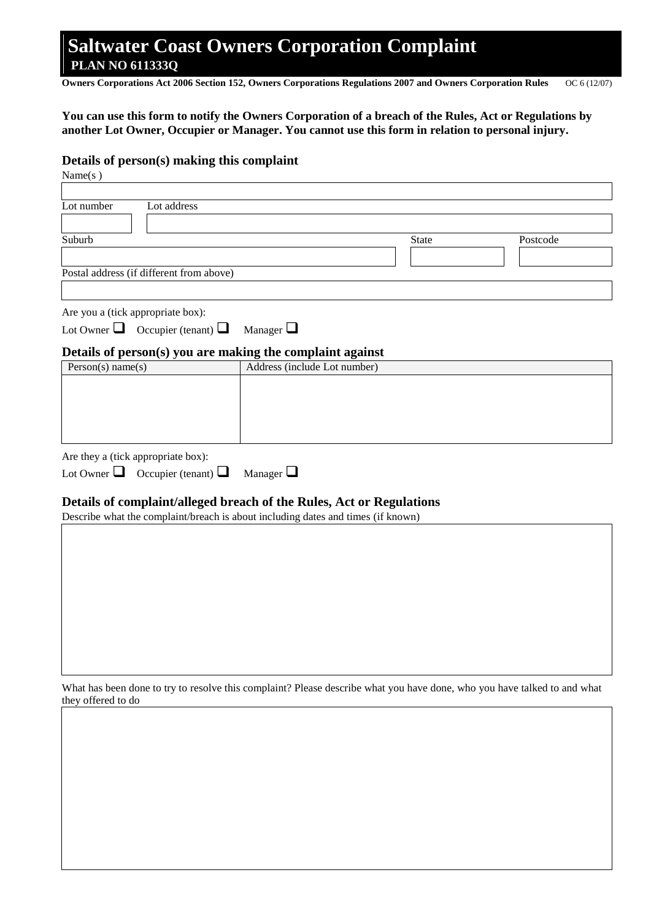# **Saltwater Coast Owners Corporation Complaint PLAN NO 611333Q**

**Owners Corporations Act 2006 Section 152, Owners Corporations Regulations 2007 and Owners Corporation Rules** OC 6 (12/07)

#### **You can use this form to notify the Owners Corporation of a breach of the Rules, Act or Regulations by another Lot Owner, Occupier or Manager. You cannot use this form in relation to personal injury.**

#### **Details of person(s) making this complaint**

| Name $(s)$                                                                                                                                               |                              |       |          |
|----------------------------------------------------------------------------------------------------------------------------------------------------------|------------------------------|-------|----------|
| Lot number<br>Lot address                                                                                                                                |                              |       |          |
| Suburb                                                                                                                                                   |                              | State | Postcode |
| Postal address (if different from above)                                                                                                                 |                              |       |          |
| Are you a (tick appropriate box):<br>Lot Owner $\Box$ Occupier (tenant) $\Box$                                                                           | Manager $\Box$               |       |          |
| Details of person(s) you are making the complaint against<br>Person(s) name(s)                                                                           | Address (include Lot number) |       |          |
|                                                                                                                                                          |                              |       |          |
| Are they a (tick appropriate box):                                                                                                                       |                              |       |          |
| Lot Owner $\Box$ Occupier (tenant) $\Box$                                                                                                                | Manager $\Box$               |       |          |
| Details of complaint/alleged breach of the Rules, Act or Regulations<br>Describe what the complaint/breach is about including dates and times (if known) |                              |       |          |
|                                                                                                                                                          |                              |       |          |
|                                                                                                                                                          |                              |       |          |
|                                                                                                                                                          |                              |       |          |
|                                                                                                                                                          |                              |       |          |
|                                                                                                                                                          |                              |       |          |
|                                                                                                                                                          |                              |       |          |
|                                                                                                                                                          |                              |       |          |

What has been done to try to resolve this complaint? Please describe what you have done, who you have talked to and what they offered to do